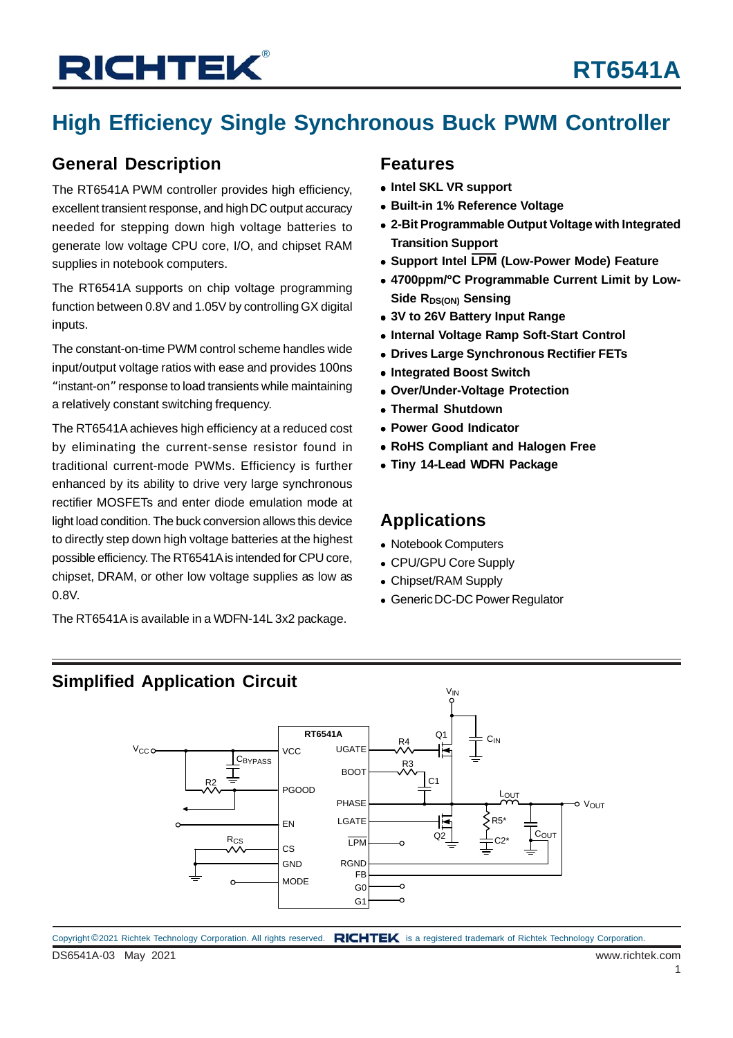## **High Efficiency Single Synchronous Buck PWM Controller**

### **General Description**

The RT6541A PWM controller provides high efficiency, excellent transient response, and high DC output accuracy needed for stepping down high voltage batteries to generate low voltage CPU core, I/O, and chipset RAM supplies in notebook computers.

The RT6541A supports on chip voltage programming function between 0.8V and 1.05V by controlling GX digital inputs.

The constant-on-time PWM control scheme handles wide input/output voltage ratios with ease and provides 100ns "instant-on" response to load transients while maintaining a relatively constant switching frequency.

The RT6541A achieves high efficiency at a reduced cost by eliminating the current-sense resistor found in traditional current-mode PWMs. Efficiency is further enhanced by its ability to drive very large synchronous rectifier MOSFETs and enter diode emulation mode at light load condition. The buck conversion allows this device to directly step down high voltage batteries at the highest possible efficiency. The RT6541A is intended for CPU core, chipset, DRAM, or other low voltage supplies as low as 0.8V.

The RT6541A is available in a WDFN-14L 3x2 package.

#### **Features**

- **Intel SKL VR support**
- **Built-in 1% Reference Voltage**
- **2-Bit Programmable Output Voltage with Integrated Transition Support**
- **Support Intel LPM (Low-Power Mode) Feature**
- **4700ppm/**°**C Programmable Current Limit by Low-Side RDS(ON) Sensing**
- **3V to 26V Battery Input Range**
- **Internal Voltage Ramp Soft-Start Control**
- **Drives Large Synchronous Rectifier FETs**
- **Integrated Boost Switch**
- **Over/Under-Voltage Protection**
- **Thermal Shutdown**
- **Power Good Indicator**
- **RoHS Compliant and Halogen Free**
- **Tiny 14-Lead WDFN Package**

### **Applications**

- Notebook Computers
- CPU/GPU Core Supply
- Chipset/RAM Supply
- Generic DC-DC Power Regulator

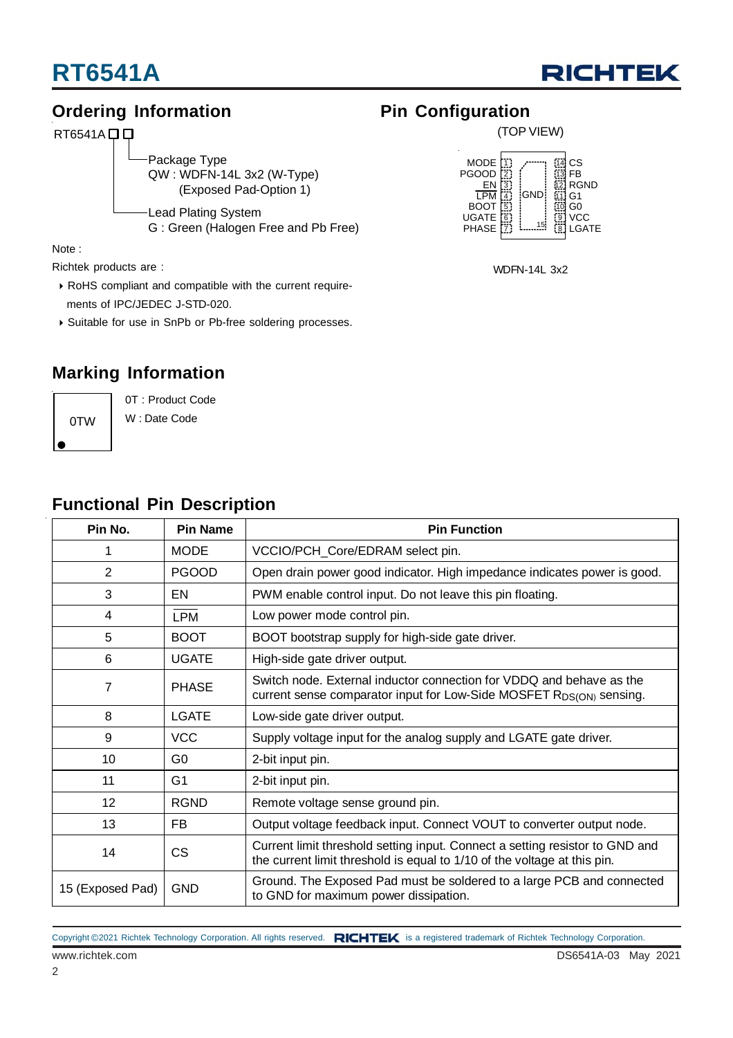



### **Ordering Information**

 $RT6541A \Box \Box$ 

Package Type QW : WDFN-14L 3x2 (W-Type) (Exposed Pad-Option 1)

Lead Plating System G : Green (Halogen Free and Pb Free)

Note :

Richtek products are :

- RoHS compliant and compatible with the current require ments of IPC/JEDEC J-STD-020.
- ▶ Suitable for use in SnPb or Pb-free soldering processes.

### **Pin Configuration**

(TOP VIEW)



WDFN-14L 3x2

### **Marking Information**

0TW

0T : Product Code W : Date Code

### **Functional Pin Description**

| Pin No.          | <b>Pin Name</b> | <b>Pin Function</b>                                                                                                                                      |
|------------------|-----------------|----------------------------------------------------------------------------------------------------------------------------------------------------------|
|                  | <b>MODE</b>     | VCCIO/PCH_Core/EDRAM select pin.                                                                                                                         |
| 2                | <b>PGOOD</b>    | Open drain power good indicator. High impedance indicates power is good.                                                                                 |
| 3                | <b>EN</b>       | PWM enable control input. Do not leave this pin floating.                                                                                                |
| 4                | <b>LPM</b>      | Low power mode control pin.                                                                                                                              |
| 5                | <b>BOOT</b>     | BOOT bootstrap supply for high-side gate driver.                                                                                                         |
| 6                | <b>UGATE</b>    | High-side gate driver output.                                                                                                                            |
| 7                | <b>PHASE</b>    | Switch node. External inductor connection for VDDQ and behave as the<br>current sense comparator input for Low-Side MOSFET RDS(ON) sensing.              |
| 8                | <b>LGATE</b>    | Low-side gate driver output.                                                                                                                             |
| 9                | <b>VCC</b>      | Supply voltage input for the analog supply and LGATE gate driver.                                                                                        |
| 10               | G <sub>0</sub>  | 2-bit input pin.                                                                                                                                         |
| 11               | G <sub>1</sub>  | 2-bit input pin.                                                                                                                                         |
| 12               | <b>RGND</b>     | Remote voltage sense ground pin.                                                                                                                         |
| 13               | <b>FB</b>       | Output voltage feedback input. Connect VOUT to converter output node.                                                                                    |
| 14               | <b>CS</b>       | Current limit threshold setting input. Connect a setting resistor to GND and<br>the current limit threshold is equal to 1/10 of the voltage at this pin. |
| 15 (Exposed Pad) | <b>GND</b>      | Ground. The Exposed Pad must be soldered to a large PCB and connected<br>to GND for maximum power dissipation.                                           |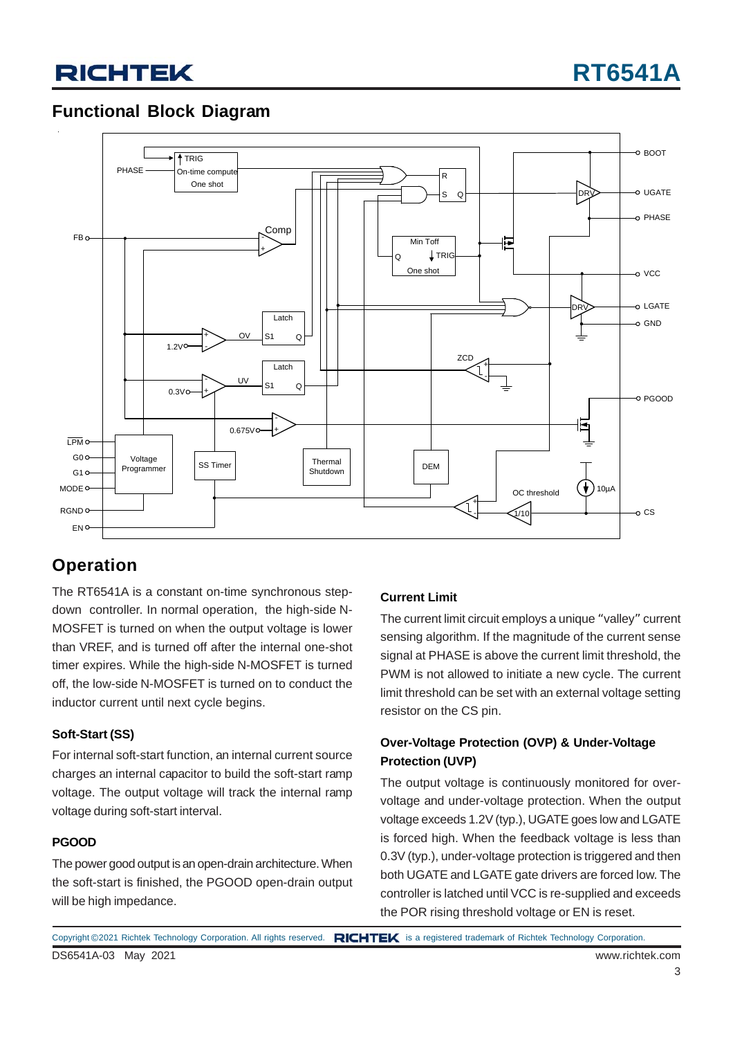### **Functional Block Diagram**



### **Operation**

The RT6541A is a constant on-time synchronous stepdown controller. In normal operation, the high-side N-MOSFET is turned on when the output voltage is lower than VREF, and is turned off after the internal one-shot timer expires. While the high-side N-MOSFET is turned off, the low-side N-MOSFET is turned on to conduct the inductor current until next cycle begins.

#### **Soft-Start (SS)**

For internal soft-start function, an internal current source charges an internal capacitor to build the soft-start ramp voltage. The output voltage will track the internal ramp voltage during soft-start interval.

#### **PGOOD**

The power good output is an open-drain architecture. When the soft-start is finished, the PGOOD open-drain output will be high impedance.

#### **Current Limit**

The current limit circuit employs a unique "valley" current sensing algorithm. If the magnitude of the current sense signal at PHASE is above the current limit threshold, the PWM is not allowed to initiate a new cycle. The current limit threshold can be set with an external voltage setting resistor on the CS pin.

#### **Over-Voltage Protection (OVP) & Under-Voltage Protection (UVP)**

The output voltage is continuously monitored for overvoltage and under-voltage protection. When the output voltage exceeds 1.2V (typ.), UGATE goes low and LGATE is forced high. When the feedback voltage is less than 0.3V (typ.), under-voltage protection is triggered and then both UGATE and LGATE gate drivers are forced low. The controller is latched until VCC is re-supplied and exceeds the POR rising threshold voltage or EN is reset.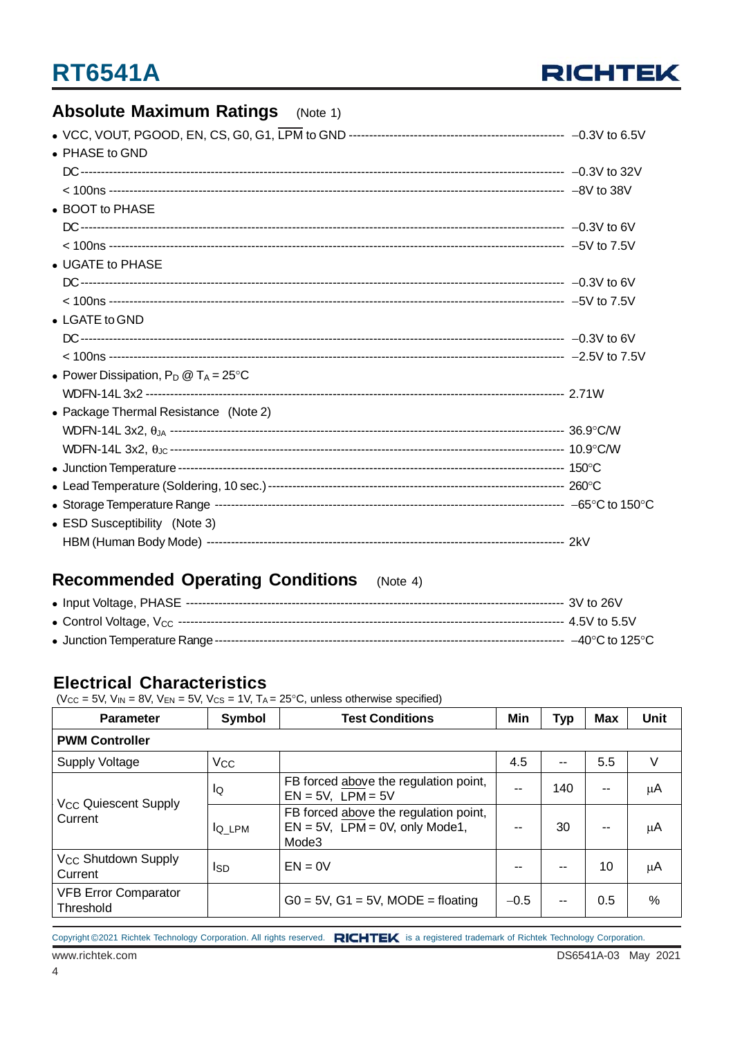

### **Absolute Maximum Ratings** (Note 1)

| • PHASE to GND                                 |  |
|------------------------------------------------|--|
|                                                |  |
|                                                |  |
| • BOOT to PHASE                                |  |
|                                                |  |
|                                                |  |
|                                                |  |
| • UGATE to PHASE                               |  |
|                                                |  |
|                                                |  |
| $\bullet$ LGATE to GND                         |  |
|                                                |  |
|                                                |  |
| • Power Dissipation, $P_D @ T_A = 25^{\circ}C$ |  |
|                                                |  |
| • Package Thermal Resistance (Note 2)          |  |
|                                                |  |
|                                                |  |
|                                                |  |
|                                                |  |
|                                                |  |
|                                                |  |
| • ESD Susceptibility (Note 3)                  |  |
|                                                |  |

### **Recommended Operating Conditions** (Note 4)

### **Electrical Characteristics**

(V<sub>CC</sub> = 5V, V<sub>IN</sub> = 8V, V<sub>EN</sub> = 5V, V<sub>CS</sub> = 1V, T<sub>A</sub> = 25<sup>°</sup>C, unless otherwise specified)

| <b>Parameter</b>                         | Symbol                | <b>Test Conditions</b>                                                                 | Min           | <b>Typ</b> | <b>Max</b> | <b>Unit</b> |
|------------------------------------------|-----------------------|----------------------------------------------------------------------------------------|---------------|------------|------------|-------------|
| <b>PWM Controller</b>                    |                       |                                                                                        |               |            |            |             |
| Supply Voltage                           | <b>V<sub>CC</sub></b> |                                                                                        | 4.5           | --         | 5.5        | V           |
| <b>Vcc Quiescent Supply</b>              | lQ                    | FB forced above the regulation point,<br>$EN = 5V$ , $LPM = 5V$                        | $\sim$ $\sim$ | 140        | $-$        | μA          |
| Current                                  | $I_{Q\_LPM}$          | FB forced above the regulation point,<br>$EN = 5V$ , $LPM = 0V$ , only Mode1,<br>Mode3 | --            | 30         | --         | μA          |
| Vcc Shutdown Supply<br>Current           | Isp                   | $EN = 0V$                                                                              | --            | --         | 10         | μA          |
| <b>VFB Error Comparator</b><br>Threshold |                       | $G0 = 5V$ , $G1 = 5V$ , MODE = floating                                                | $-0.5$        | --         | 0.5        | %           |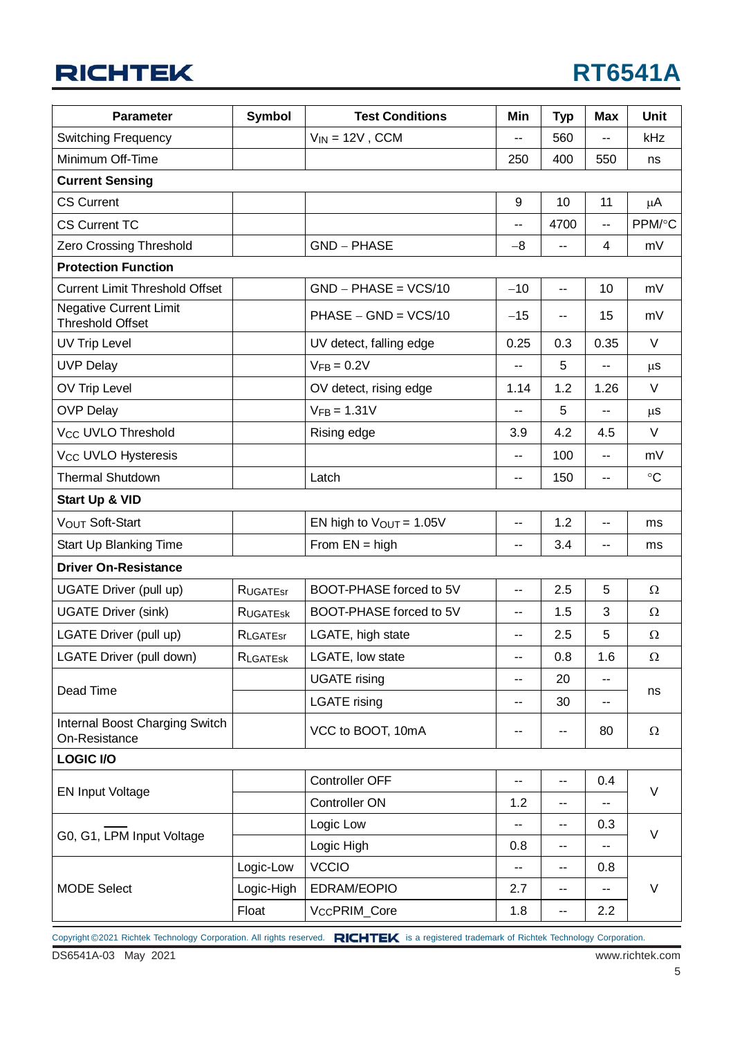| <b>Parameter</b>                                         | <b>Symbol</b>        | <b>Test Conditions</b>       | Min                      | <b>Typ</b>               | <b>Max</b>               | Unit      |  |  |
|----------------------------------------------------------|----------------------|------------------------------|--------------------------|--------------------------|--------------------------|-----------|--|--|
| <b>Switching Frequency</b>                               |                      | $V_{IN} = 12V$ , CCM         | --                       | 560                      |                          | kHz       |  |  |
| Minimum Off-Time                                         |                      |                              | 250                      | 400                      | 550                      | ns        |  |  |
| <b>Current Sensing</b>                                   |                      |                              |                          |                          |                          |           |  |  |
| <b>CS Current</b>                                        |                      |                              | 9                        | 10                       | 11                       | μA        |  |  |
| <b>CS Current TC</b>                                     |                      |                              | --                       | 4700                     | $\overline{\phantom{a}}$ | PPM/°C    |  |  |
| Zero Crossing Threshold                                  |                      | <b>GND - PHASE</b>           | $-8$                     | $\overline{\phantom{a}}$ | 4                        | mV        |  |  |
| <b>Protection Function</b>                               |                      |                              |                          |                          |                          |           |  |  |
| <b>Current Limit Threshold Offset</b>                    |                      | $GND - PHASE = VCS/10$       | $-10$                    | $\sim$ $\sim$            | 10                       | mV        |  |  |
| <b>Negative Current Limit</b><br><b>Threshold Offset</b> |                      | $PHASE - GND = VCS/10$       | $-15$                    | --                       | 15                       | mV        |  |  |
| <b>UV Trip Level</b>                                     |                      | UV detect, falling edge      | 0.25                     | 0.3                      | 0.35                     | $\vee$    |  |  |
| <b>UVP Delay</b>                                         |                      | $VFB = 0.2V$                 | $-$                      | 5                        | --                       | $\mu$ S   |  |  |
| OV Trip Level                                            |                      | OV detect, rising edge       | 1.14                     | 1.2                      | 1.26                     | $\vee$    |  |  |
| <b>OVP Delay</b>                                         |                      | $VFB = 1.31V$                | $\overline{a}$           | 5                        | $\overline{\phantom{a}}$ | $\mu$ s   |  |  |
| V <sub>CC</sub> UVLO Threshold                           |                      | Rising edge                  | 3.9                      | 4.2                      | 4.5                      | $\vee$    |  |  |
| Vcc UVLO Hysteresis                                      |                      |                              | $-$                      | 100                      | $\overline{\phantom{a}}$ | mV        |  |  |
| <b>Thermal Shutdown</b>                                  |                      | Latch                        | --                       | 150                      | --                       | $\circ$ C |  |  |
| Start Up & VID                                           |                      |                              |                          |                          |                          |           |  |  |
| VOUT Soft-Start                                          |                      | EN high to $V_{OUT} = 1.05V$ | $\overline{\phantom{a}}$ | 1.2                      | --                       | ms        |  |  |
| Start Up Blanking Time                                   |                      | From $EN = high$             | --                       | 3.4                      | --                       | ms        |  |  |
| <b>Driver On-Resistance</b>                              |                      |                              |                          |                          |                          |           |  |  |
| <b>UGATE Driver (pull up)</b>                            | <b>RUGATEST</b>      | BOOT-PHASE forced to 5V      | $\overline{a}$           | 2.5                      | 5                        | $\Omega$  |  |  |
| <b>UGATE Driver (sink)</b>                               | <b>RUGATESK</b>      | BOOT-PHASE forced to 5V      | --                       | 1.5                      | 3                        | $\Omega$  |  |  |
| LGATE Driver (pull up)                                   | RLGATEST             | LGATE, high state            | --                       | 2.5                      | 5                        | $\Omega$  |  |  |
| LGATE Driver (pull down)                                 | $R_{\text{LGATE}$ sk | LGATE, low state             | --                       | 0.8                      | 1.6                      | Ω         |  |  |
|                                                          |                      | <b>UGATE</b> rising          | $\overline{a}$           | 20                       |                          | ns        |  |  |
| Dead Time                                                |                      | <b>LGATE</b> rising          | --                       | 30                       | --                       |           |  |  |
| Internal Boost Charging Switch<br>On-Resistance          |                      | VCC to BOOT, 10mA            | --                       | --                       | 80                       | $\Omega$  |  |  |
| <b>LOGIC I/O</b>                                         |                      |                              |                          |                          |                          |           |  |  |
|                                                          |                      | <b>Controller OFF</b>        | н.                       | $\mathbf{u}$             | 0.4                      |           |  |  |
| <b>EN Input Voltage</b>                                  |                      | <b>Controller ON</b>         | 1.2                      |                          |                          | V         |  |  |
| G0, G1, LPM Input Voltage                                |                      | Logic Low                    | --                       | $\sim$                   | 0.3                      | $\vee$    |  |  |
|                                                          |                      | Logic High                   | 0.8                      | $\overline{\phantom{a}}$ |                          |           |  |  |
|                                                          | Logic-Low            | <b>VCCIO</b>                 | --                       | $\sim$                   | 0.8                      |           |  |  |
| <b>MODE Select</b>                                       | Logic-High           | EDRAM/EOPIO                  | 2.7                      | $\sim$                   | --                       | V         |  |  |
|                                                          | Float                | VccPRIM_Core                 | 1.8                      | $\overline{\phantom{m}}$ | 2.2                      |           |  |  |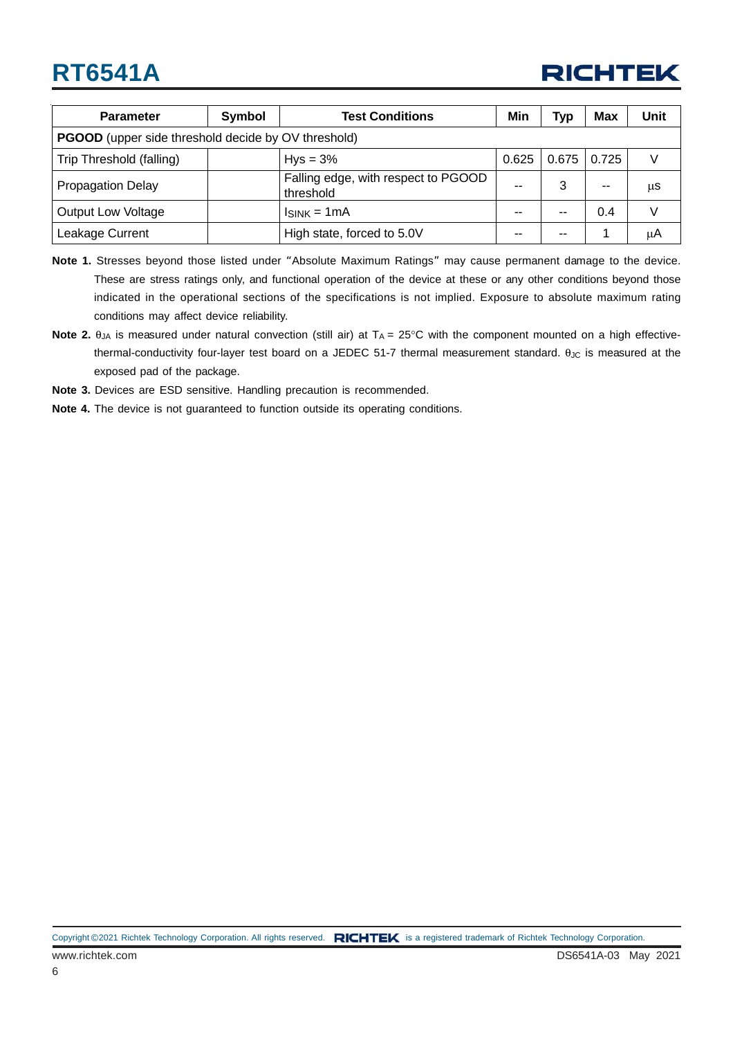

| <b>Parameter</b>                                           | Symbol | <b>Test Conditions</b>                           | Min   | Typ   | <b>Max</b> | Unit |  |
|------------------------------------------------------------|--------|--------------------------------------------------|-------|-------|------------|------|--|
| <b>PGOOD</b> (upper side threshold decide by OV threshold) |        |                                                  |       |       |            |      |  |
| Trip Threshold (falling)                                   |        | $Hys = 3%$                                       | 0.625 | 0.675 | 0.725      |      |  |
| <b>Propagation Delay</b>                                   |        | Falling edge, with respect to PGOOD<br>threshold | --    |       | $- -$      | μS   |  |
| <b>Output Low Voltage</b>                                  |        | $I_{SINK} = 1mA$                                 | --    | --    | 0.4        |      |  |
| Leakage Current                                            |        | High state, forced to 5.0V                       | --    | --    |            | μA   |  |

- **Note 1.** Stresses beyond those listed under "Absolute Maximum Ratings" may cause permanent damage to the device. These are stress ratings only, and functional operation of the device at these or any other conditions beyond those indicated in the operational sections of the specifications is not implied. Exposure to absolute maximum rating conditions may affect device reliability.
- **Note 2.**  $\theta_{JA}$  is measured under natural convection (still air) at  $T_A = 25^{\circ}C$  with the component mounted on a high effectivethermal-conductivity four-layer test board on a JEDEC 51-7 thermal measurement standard.  $\theta_{JC}$  is measured at the exposed pad of the package.
- **Note 3.** Devices are ESD sensitive. Handling precaution is recommended.
- **Note 4.** The device is not guaranteed to function outside its operating conditions.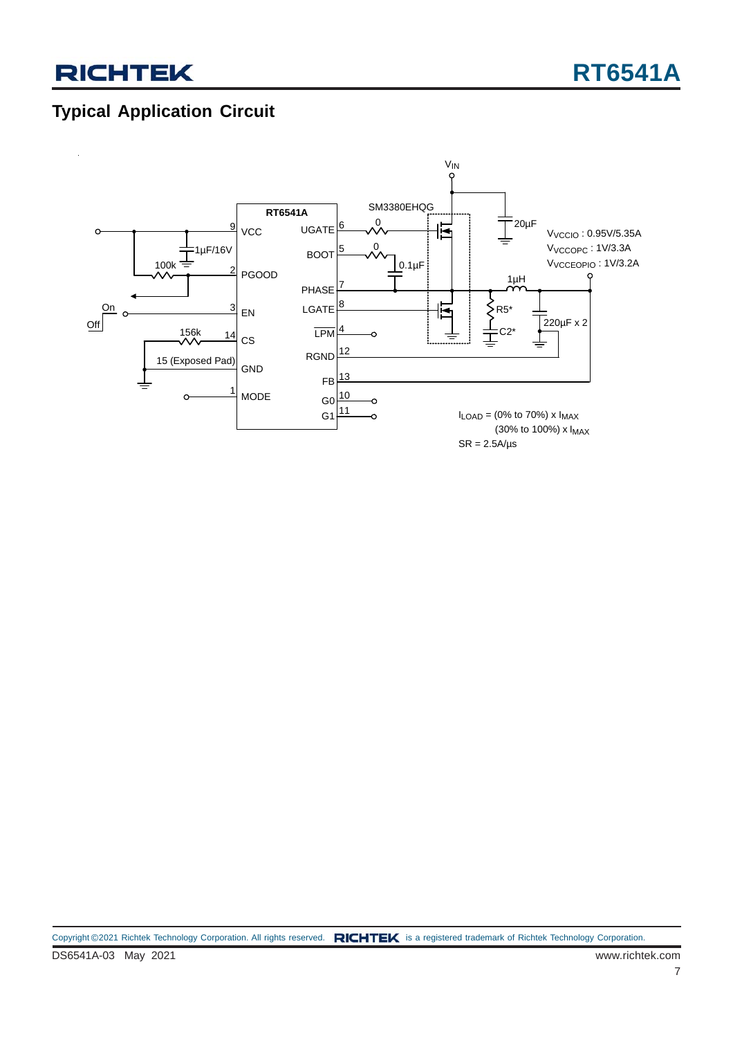## **Typical Application Circuit**

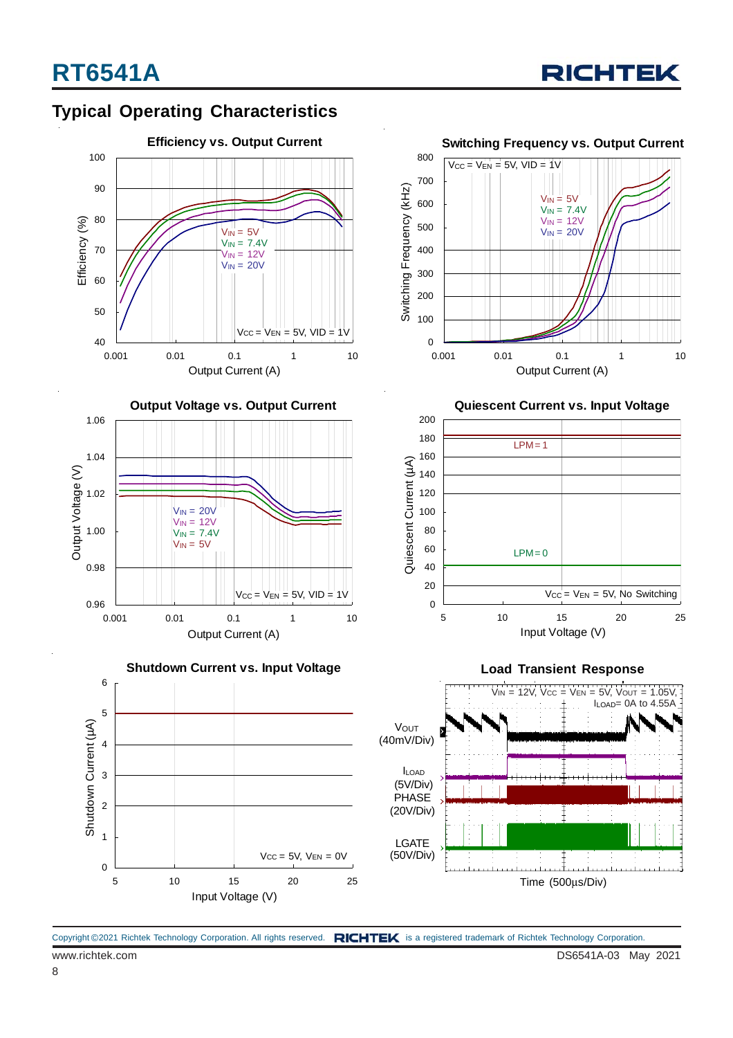













**Quiescent Current vs. Input Voltage**



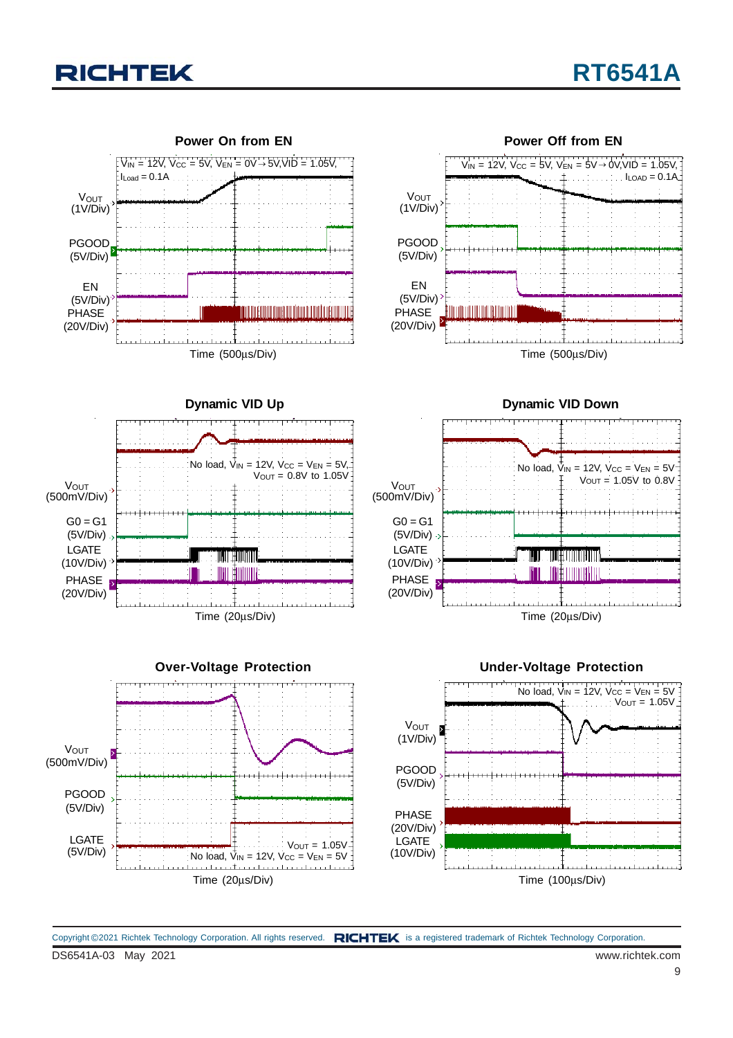

DS6541A-03 May 2021 www.richtek.com Copyright ©2021 Richtek Technology Corporation. All rights reserved. RICHTEK is a registered trademark of Richtek Technology Corporation.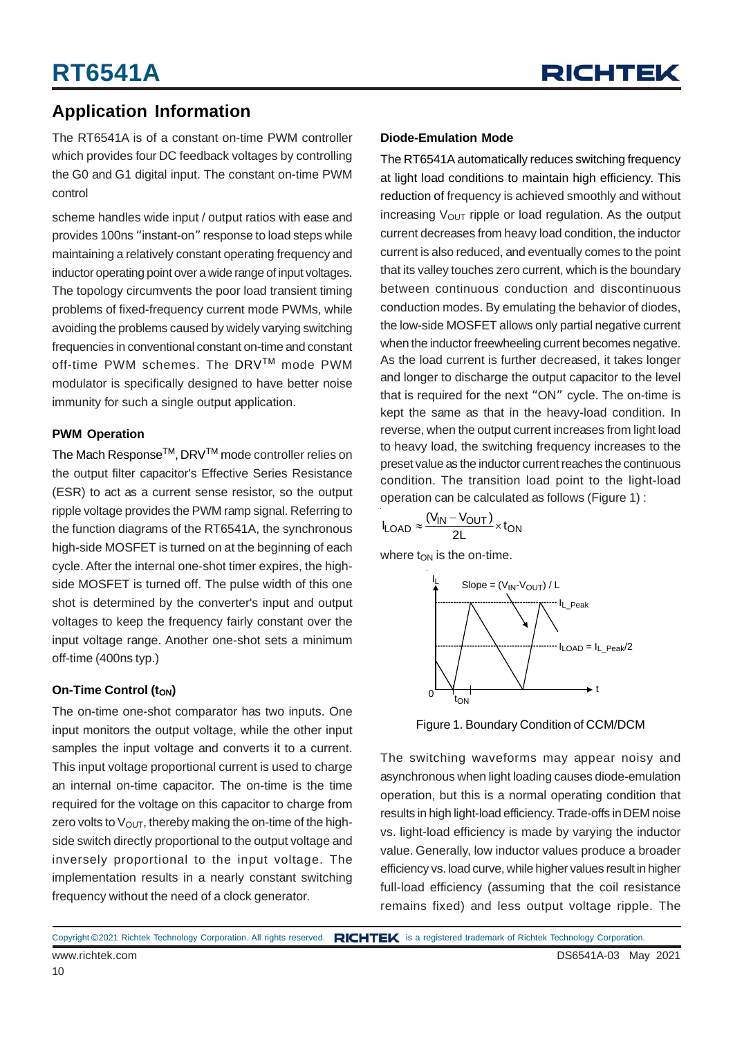### **Application Information**

The RT6541A is of a constant on-time PWM controller which provides four DC feedback voltages by controlling the G0 and G1 digital input. The constant on-time PWM control

scheme handles wide input / output ratios with ease and provides 100ns "instant-on" response to load steps while maintaining a relatively constant operating frequency and inductor operating point over a wide range of input voltages. The topology circumvents the poor load transient timing problems of fixed-frequency current mode PWMs, while avoiding the problems caused by widely varying switching frequencies in conventional constant on-time and constant off-time PWM schemes. The DRVTM mode PWM modulator is specifically designed to have better noise immunity for such a single output application.

#### **PWM Operation**

The Mach Response<sup>™</sup>, DRV<sup>™</sup> mode controller relies on the output filter capacitor's Effective Series Resistance (ESR) to act as a current sense resistor, so the output ripple voltage provides the PWM ramp signal. Referring to the function diagrams of the RT6541A, the synchronous high-side MOSFET is turned on at the beginning of each cycle. After the internal one-shot timer expires, the highside MOSFET is turned off. The pulse width of this one shot is determined by the converter's input and output voltages to keep the frequency fairly constant over the input voltage range. Another one-shot sets a minimum off-time (400ns typ.)

#### **On-Time Control (ton)**

The on-time one-shot comparator has two inputs. One input monitors the output voltage, while the other input samples the input voltage and converts it to a current. This input voltage proportional current is used to charge an internal on-time capacitor. The on-time is the time required for the voltage on this capacitor to charge from zero volts to  $V_{\text{OUT}}$ , thereby making the on-time of the highside switch directly proportional to the output voltage and inversely proportional to the input voltage. The implementation results in a nearly constant switching frequency without the need of a clock generator.

#### **Diode-Emulation Mode**

The RT6541A automatically reduces switching frequency at light load conditions to maintain high efficiency. This reduction of frequency is achieved smoothly and without increasing  $V_{\text{OUT}}$  ripple or load regulation. As the output current decreases from heavy load condition, the inductor current is also reduced, and eventually comes to the point that its valley touches zero current, which is the boundary between continuous conduction and discontinuous conduction modes. By emulating the behavior of diodes, the low-side MOSFET allows only partial negative current when the inductor freewheeling current becomes negative. As the load current is further decreased, it takes longer and longer to discharge the output capacitor to the level that is required for the next "ON" cycle. The on-time is kept the same as that in the heavy-load condition. In reverse, when the output current increases from light load to heavy load, the switching frequency increases to the preset value as the inductor current reaches the continuous condition. The transition load point to the light-load operation can be calculated as follows (Figure 1) :

$$
I_{LOAD} \approx \frac{(V_{IN} - V_{OUT})}{2L} \times t_{ON}
$$

where  $t_{ON}$  is the on-time.



Figure 1. Boundary Condition of CCM/DCM

The switching waveforms may appear noisy and asynchronous when light loading causes diode-emulation operation, but this is a normal operating condition that results in high light-load efficiency. Trade-offs in DEM noise vs. light-load efficiency is made by varying the inductor value. Generally, low inductor values produce a broader efficiency vs. load curve, while higher values result in higher full-load efficiency (assuming that the coil resistance remains fixed) and less output voltage ripple. The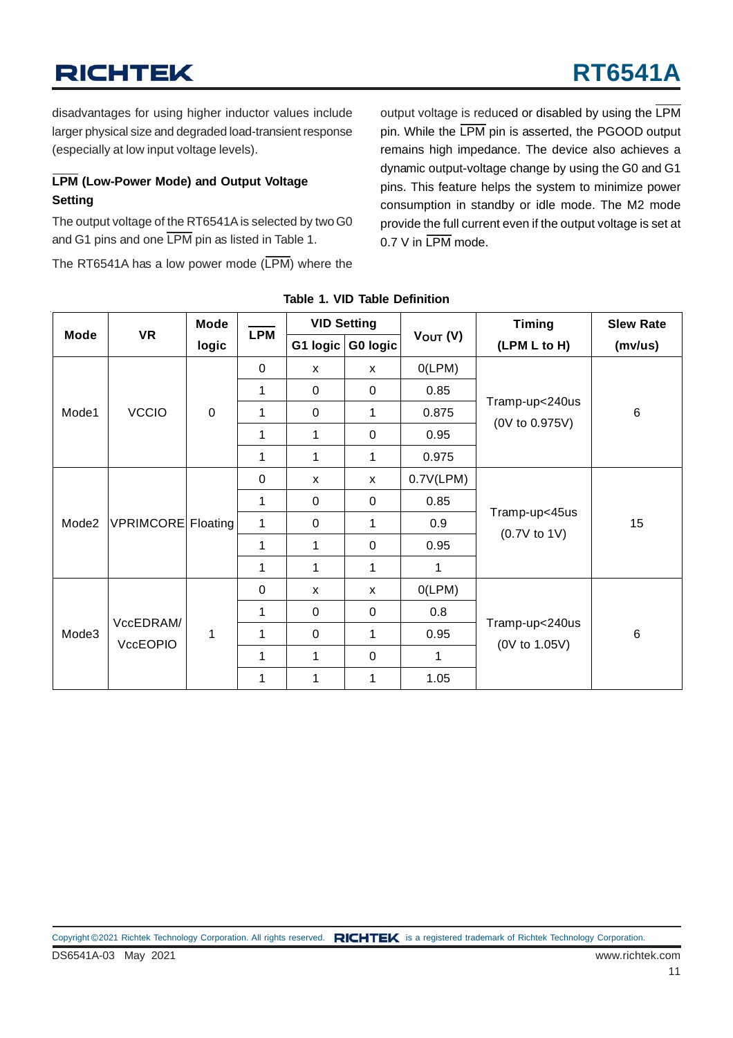disadvantages for using higher inductor values include larger physical size and degraded load-transient response (especially at low input voltage levels).

#### **LPM (Low-Power Mode) and Output Voltage Setting**

The output voltage of the RT6541A is selected by two G0 and G1 pins and one LPM pin as listed in Table 1.

The RT6541A has a low power mode (LPM) where the

output voltage is reduced or disabled by using the LPM pin. While the LPM pin is asserted, the PGOOD output remains high impedance. The device also achieves a dynamic output-voltage change by using the G0 and G1 pins. This feature helps the system to minimize power consumption in standby or idle mode. The M2 mode provide the full current even if the output voltage is set at 0.7 V in LPM mode.

|             | <b>VR</b>             | <b>Mode</b> | <b>LPM</b>   |              | <b>VID Setting</b> |               | <b>Timing</b>                    | <b>Slew Rate</b> |
|-------------|-----------------------|-------------|--------------|--------------|--------------------|---------------|----------------------------------|------------------|
| <b>Mode</b> |                       | logic       |              | G1 logic     | G0 logic           | $V_{OUT} (V)$ | (LPM L to H)                     | (mv/us)          |
|             |                       | $\mathbf 0$ | $\mathbf 0$  | $\mathsf{x}$ | $\mathsf{x}$       | O(LPM)        | Tramp-up<240us<br>(0V to 0.975V) | 6                |
|             |                       |             | 1            | 0            | $\mathbf 0$        | 0.85          |                                  |                  |
| Mode1       | <b>VCCIO</b>          |             | 1            | $\mathbf 0$  | 1                  | 0.875         |                                  |                  |
|             |                       |             | 1            | 1            | $\mathbf 0$        | 0.95          |                                  |                  |
|             |                       |             | 1            | 1            | 1                  | 0.975         |                                  |                  |
|             | VPRIMCORE Floating    |             | 0            | X            | X                  | 0.7V(LPM)     | Tramp-up<45us<br>$(0.7V$ to 1V)  | 15               |
|             |                       |             | 1            | $\mathbf 0$  | $\mathbf 0$        | 0.85          |                                  |                  |
| Mode2       |                       |             | $\mathbf{1}$ | $\mathbf 0$  | 1                  | 0.9           |                                  |                  |
|             |                       |             | 1            | $\mathbf{1}$ | $\mathbf 0$        | 0.95          |                                  |                  |
|             |                       |             | 1            | 1            | $\mathbf{1}$       | 1             |                                  |                  |
|             |                       |             | 0            | X            | X                  | O(LPM)        | Tramp-up<240us<br>(0V to 1.05V)  | $\,6\,$          |
| Mode3       | VccEDRAM/<br>VccEOPIO | 1           | 1            | $\mathbf 0$  | $\mathbf 0$        | 0.8           |                                  |                  |
|             |                       |             | 1            | $\mathbf 0$  | 1                  | 0.95          |                                  |                  |
|             |                       |             | 1            | 1            | $\mathbf 0$        | 1             |                                  |                  |
|             |                       |             |              |              | 1                  | 1             | 1                                | 1.05             |

**Table 1. VID Table Definition**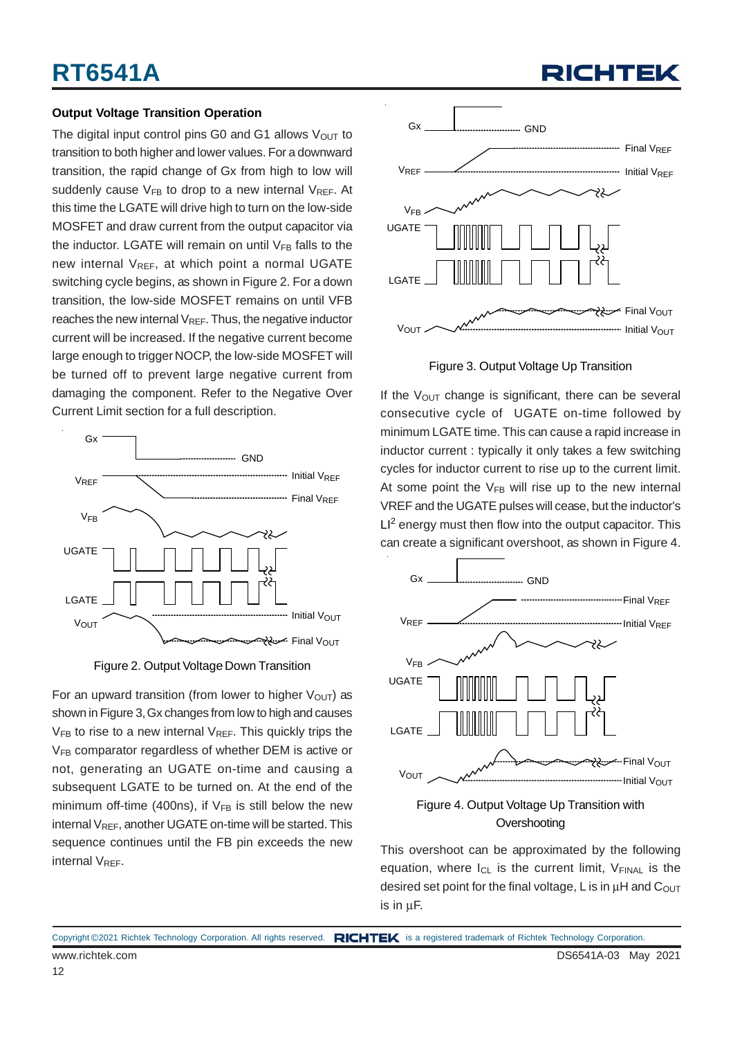#### **Output Voltage Transition Operation**

The digital input control pins G0 and G1 allows  $V_{\text{OUT}}$  to transition to both higher and lower values. For a downward transition, the rapid change of Gx from high to low will suddenly cause  $V_{FB}$  to drop to a new internal  $V_{REF}$ . At this time the LGATE will drive high to turn on the low-side MOSFET and draw current from the output capacitor via the inductor. LGATE will remain on until  $V_{FB}$  falls to the new internal  $V_{REF}$ , at which point a normal UGATE switching cycle begins, as shown in Figure 2. For a down transition, the low-side MOSFET remains on until VFB reaches the new internal  $V_{RFF}$ . Thus, the negative inductor current will be increased. If the negative current become large enough to trigger NOCP, the low-side MOSFET will be turned off to prevent large negative current from damaging the component. Refer to the Negative Over Current Limit section for a full description.





For an upward transition (from lower to higher  $V_{\text{OUT}}$ ) as shown in Figure 3, Gx changes from low to high and causes  $V_{FB}$  to rise to a new internal  $V_{REF}$ . This quickly trips the V<sub>FB</sub> comparator regardless of whether DEM is active or not, generating an UGATE on-time and causing a subsequent LGATE to be turned on. At the end of the minimum off-time (400ns), if  $V_{FB}$  is still below the new internal  $V_{REF}$ , another UGATE on-time will be started. This sequence continues until the FB pin exceeds the new internal V<sub>RFF</sub>.



Figure 3. Output Voltage Up Transition

If the  $V_{\text{OUT}}$  change is significant, there can be several consecutive cycle of UGATE on-time followed by minimum LGATE time. This can cause a rapid increase in inductor current : typically it only takes a few switching cycles for inductor current to rise up to the current limit. At some point the  $V_{FB}$  will rise up to the new internal VREF and the UGATE pulses will cease, but the inductor's  $LI<sup>2</sup>$  energy must then flow into the output capacitor. This can create a significant overshoot, as shown in Figure 4.



**Overshooting** 

This overshoot can be approximated by the following equation, where  $I_{CL}$  is the current limit,  $V_{FINAL}$  is the desired set point for the final voltage, L is in  $\mu$ H and C<sub>OUT</sub> is in μF.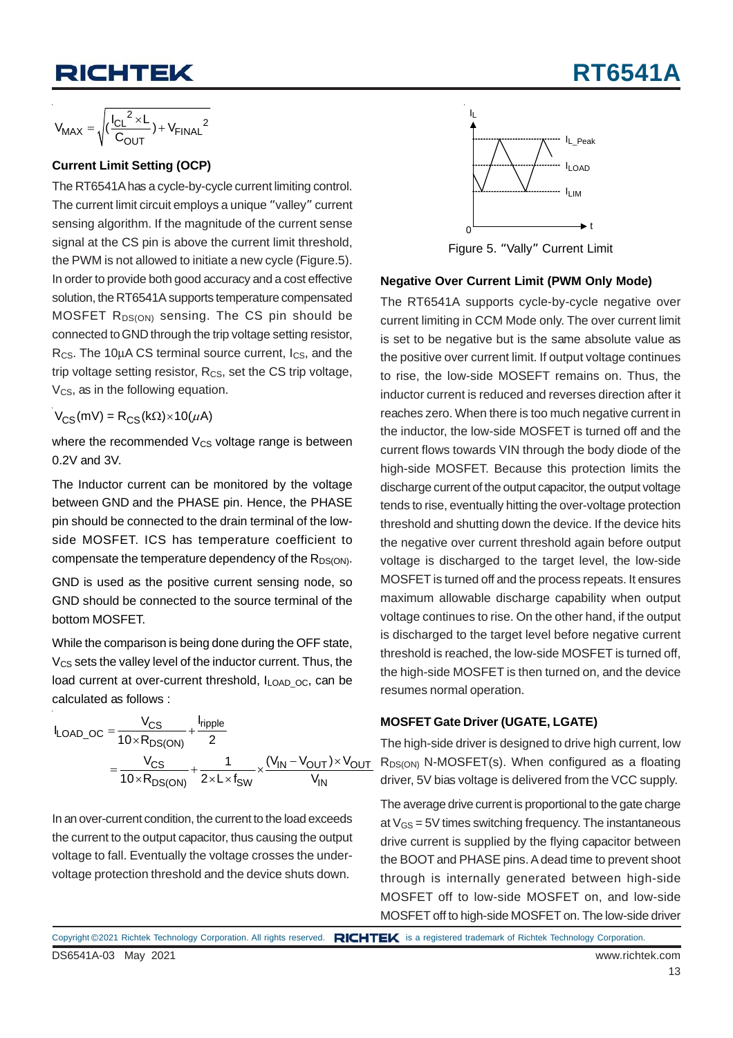## **RT6541A**

$$
V_{MAX} = \sqrt{(\frac{{I_{CL}}^2 \times L}{C_{OUT}}) + V_{FINAL}^2}
$$

#### **Current Limit Setting (OCP)**

The RT6541A has a cycle-by-cycle current limiting control. The current limit circuit employs a unique "valley" current sensing algorithm. If the magnitude of the current sense signal at the CS pin is above the current limit threshold, the PWM is not allowed to initiate a new cycle (Figure.5). In order to provide both good accuracy and a cost effective solution, the RT6541A supports temperature compensated MOSFET  $R_{DS(ON)}$  sensing. The CS pin should be connected to GND through the trip voltage setting resistor, R<sub>CS</sub>. The 10 $\mu$ A CS terminal source current,  $I_{CS}$ , and the trip voltage setting resistor,  $R_{CS}$ , set the CS trip voltage,  $V_{\text{CS}}$ , as in the following equation.

$$
V_{CS}(mV) = R_{CS}(k\Omega) \times 10(\mu A)
$$

where the recommended  $V_{CS}$  voltage range is between 0.2V and 3V.

The Inductor current can be monitored by the voltage between GND and the PHASE pin. Hence, the PHASE pin should be connected to the drain terminal of the lowside MOSFET. ICS has temperature coefficient to compensate the temperature dependency of the  $R_{DS(ON)}$ .

GND is used as the positive current sensing node, so GND should be connected to the source terminal of the bottom MOSFET.

While the comparison is being done during the OFF state,  $V_{CS}$  sets the valley level of the inductor current. Thus, the load current at over-current threshold,  $I_{\text{LOAD OC}}$ , can be calculated as follows :

$$
I_{\text{LOAD\_OC}} = \frac{V_{CS}}{10 \times R_{DS(ON)}} + \frac{I_{\text{ripple}}}{2}
$$

$$
= \frac{V_{CS}}{10 \times R_{DS(ON)}} + \frac{1}{2 \times L \times f_{SW}} \times \frac{(V_{IN} - V_{OUT}) \times V_{OUT}}{V_{IN}}
$$

In an over-current condition, the current to the load exceeds the current to the output capacitor, thus causing the output voltage to fall. Eventually the voltage crosses the undervoltage protection threshold and the device shuts down.



Figure 5. "Vally" Current Limit

#### **Negative Over Current Limit (PWM Only Mode)**

The RT6541A supports cycle-by-cycle negative over current limiting in CCM Mode only. The over current limit is set to be negative but is the same absolute value as the positive over current limit. If output voltage continues to rise, the low-side MOSEFT remains on. Thus, the inductor current is reduced and reverses direction after it reaches zero. When there is too much negative current in the inductor, the low-side MOSFET is turned off and the current flows towards VIN through the body diode of the high-side MOSFET. Because this protection limits the discharge current of the output capacitor, the output voltage tends to rise, eventually hitting the over-voltage protection threshold and shutting down the device. If the device hits the negative over current threshold again before output voltage is discharged to the target level, the low-side MOSFET is turned off and the process repeats. It ensures maximum allowable discharge capability when output voltage continues to rise. On the other hand, if the output is discharged to the target level before negative current threshold is reached, the low-side MOSFET is turned off, the high-side MOSFET is then turned on, and the device resumes normal operation.

#### **MOSFET Gate Driver (UGATE, LGATE)**

The high-side driver is designed to drive high current, low  $R_{DS(ON)}$  N-MOSFET(s). When configured as a floating driver, 5V bias voltage is delivered from the VCC supply.

The average drive current is proportional to the gate charge at  $V_{GS}$  = 5V times switching frequency. The instantaneous drive current is supplied by the flying capacitor between the BOOT and PHASE pins. A dead time to prevent shoot through is internally generated between high-side MOSFET off to low-side MOSFET on, and low-side MOSFET off to high-side MOSFET on. The low-side driver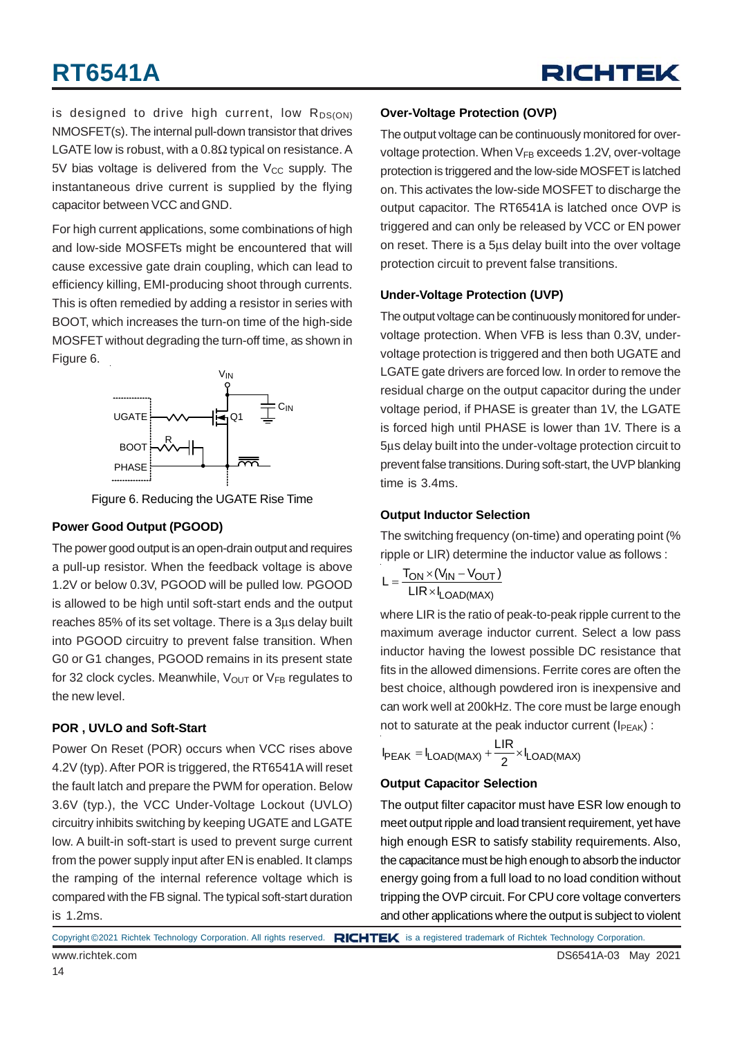

is designed to drive high current, low  $R_{DS(ON)}$ NMOSFET(s). The internal pull-down transistor that drives LGATE low is robust, with a  $0.8\Omega$  typical on resistance. A 5V bias voltage is delivered from the  $V_{CC}$  supply. The instantaneous drive current is supplied by the flying capacitor between VCC and GND.

For high current applications, some combinations of high and low-side MOSFETs might be encountered that will cause excessive gate drain coupling, which can lead to efficiency killing, EMI-producing shoot through currents. This is often remedied by adding a resistor in series with BOOT, which increases the turn-on time of the high-side MOSFET without degrading the turn-off time, as shown in Figure 6.



Figure 6. Reducing the UGATE Rise Time

#### **Power Good Output (PGOOD)**

The power good output is an open-drain output and requires a pull-up resistor. When the feedback voltage is above 1.2V or below 0.3V, PGOOD will be pulled low. PGOOD is allowed to be high until soft-start ends and the output reaches 85% of its set voltage. There is a 3μs delay built into PGOOD circuitry to prevent false transition. When G0 or G1 changes, PGOOD remains in its present state for 32 clock cycles. Meanwhile,  $V_{\text{OUT}}$  or  $V_{\text{FB}}$  regulates to the new level.

#### **POR , UVLO and Soft-Start**

Power On Reset (POR) occurs when VCC rises above 4.2V (typ). After POR is triggered, the RT6541A will reset the fault latch and prepare the PWM for operation. Below 3.6V (typ.), the VCC Under-Voltage Lockout (UVLO) circuitry inhibits switching by keeping UGATE and LGATE low. A built-in soft-start is used to prevent surge current from the power supply input after EN is enabled. It clamps the ramping of the internal reference voltage which is compared with the FB signal. The typical soft-start duration is 1.2ms.

#### **Over-Voltage Protection (OVP)**

The output voltage can be continuously monitored for overvoltage protection. When  $V_{FB}$  exceeds 1.2V, over-voltage protection is triggered and the low-side MOSFET is latched on. This activates the low-side MOSFET to discharge the output capacitor. The RT6541A is latched once OVP is triggered and can only be released by VCC or EN power on reset. There is a 5μs delay built into the over voltage protection circuit to prevent false transitions.

#### **Under-Voltage Protection (UVP)**

The output voltage can be continuously monitored for undervoltage protection. When VFB is less than 0.3V, undervoltage protection is triggered and then both UGATE and LGATE gate drivers are forced low. In order to remove the residual charge on the output capacitor during the under voltage period, if PHASE is greater than 1V, the LGATE is forced high until PHASE is lower than 1V. There is a 5μs delay built into the under-voltage protection circuit to prevent false transitions. During soft-start, the UVP blanking time is 3.4ms.

#### **Output Inductor Selection**

The switching frequency (on-time) and operating point (% ripple or LIR) determine the inductor value as follows :

$$
L = \frac{T_{ON} \times (V_{IN} - V_{OUT})}{LIR \times I_{LOAD(MAX)}}
$$

where LIR is the ratio of peak-to-peak ripple current to the maximum average inductor current. Select a low pass inductor having the lowest possible DC resistance that fits in the allowed dimensions. Ferrite cores are often the best choice, although powdered iron is inexpensive and can work well at 200kHz. The core must be large enough not to saturate at the peak inductor current  $(I_{\text{PFAK}})$ :

$$
I_{PEAK} = I_{LOAD(MAX)} + \frac{LIR}{2} \times I_{LOAD(MAX)}
$$

#### **Output Capacitor Selection**

The output filter capacitor must have ESR low enough to meet output ripple and load transient requirement, yet have high enough ESR to satisfy stability requirements. Also, the capacitance must be high enough to absorb the inductor energy going from a full load to no load condition without tripping the OVP circuit. For CPU core voltage converters and other applications where the output is subject to violent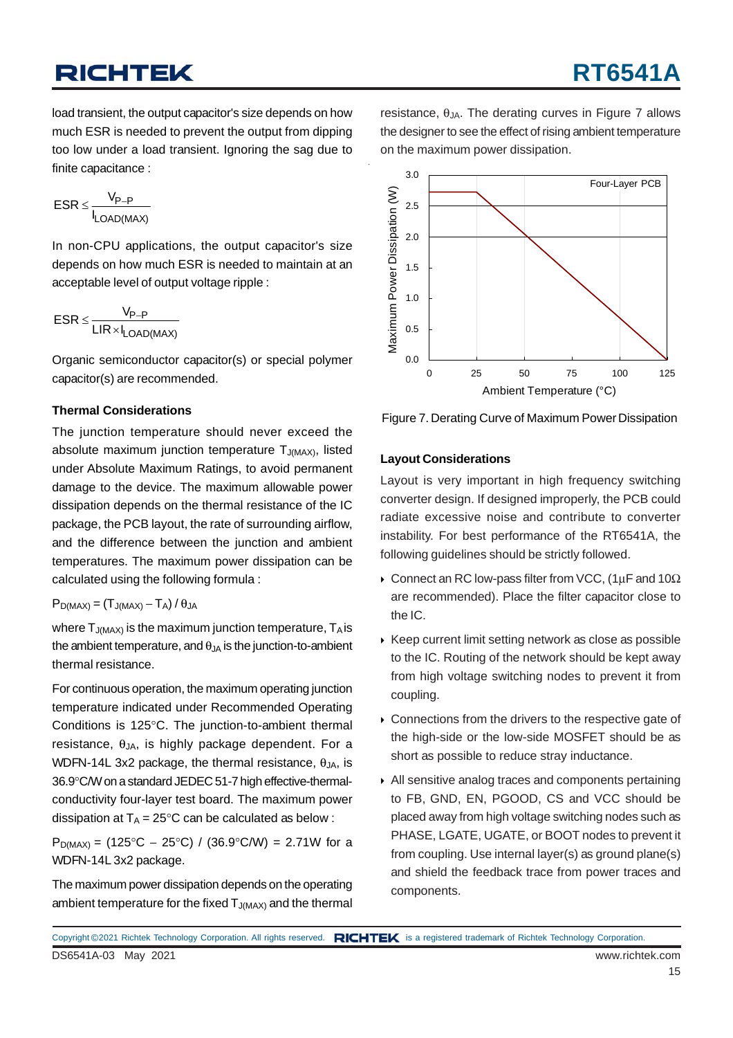load transient, the output capacitor's size depends on how much ESR is needed to prevent the output from dipping too low under a load transient. Ignoring the sag due to finite capacitance :

$$
ESR \leq \frac{V_{P-P}}{I_{LOAD(MAX)}}
$$

In non-CPU applications, the output capacitor's size depends on how much ESR is needed to maintain at an acceptable level of output voltage ripple :

$$
ESR \leq \frac{V_{P-P}}{LIR \times I_{LOAD(MAX)}}
$$

Organic semiconductor capacitor(s) or special polymer capacitor(s) are recommended.

#### **Thermal Considerations**

The junction temperature should never exceed the absolute maximum junction temperature  $T_{J(MAX)}$ , listed under Absolute Maximum Ratings, to avoid permanent damage to the device. The maximum allowable power dissipation depends on the thermal resistance of the IC package, the PCB layout, the rate of surrounding airflow, and the difference between the junction and ambient temperatures. The maximum power dissipation can be calculated using the following formula :

#### $P_{D(MAX)} = (T_{J(MAX)} - T_A) / \theta_{JA}$

where  $T_{J(MAX)}$  is the maximum junction temperature,  $T_A$  is the ambient temperature, and  $\theta_{JA}$  is the junction-to-ambient thermal resistance.

For continuous operation, the maximum operating junction temperature indicated under Recommended Operating Conditions is 125°C. The junction-to-ambient thermal resistance,  $\theta_{JA}$ , is highly package dependent. For a WDFN-14L 3x2 package, the thermal resistance,  $\theta_{JA}$ , is 36.9°C/W on a standard JEDEC 51-7 high effective-thermalconductivity four-layer test board. The maximum power dissipation at  $T_A = 25^{\circ}C$  can be calculated as below :

 $P_{D(MAX)} = (125^{\circ}C - 25^{\circ}C) / (36.9^{\circ}C/W) = 2.71W$  for a WDFN-14L 3x2 package.

The maximum power dissipation depends on the operating ambient temperature for the fixed  $T_{J(MAX)}$  and the thermal resistance,  $θ_{JA}$ . The derating curves in Figure 7 allows the designer to see the effect of rising ambient temperature on the maximum power dissipation.



Figure 7. Derating Curve of Maximum Power Dissipation

#### **Layout Considerations**

Layout is very important in high frequency switching converter design. If designed improperly, the PCB could radiate excessive noise and contribute to converter instability. For best performance of the RT6541A, the following guidelines should be strictly followed.

- Connect an RC low-pass filter from VCC, (1μF and 10 $\Omega$ ) are recommended). Place the filter capacitor close to the IC.
- ▶ Keep current limit setting network as close as possible to the IC. Routing of the network should be kept away from high voltage switching nodes to prevent it from coupling.
- Connections from the drivers to the respective gate of the high-side or the low-side MOSFET should be as short as possible to reduce stray inductance.
- All sensitive analog traces and components pertaining to FB, GND, EN, PGOOD, CS and VCC should be placed away from high voltage switching nodes such as PHASE, LGATE, UGATE, or BOOT nodes to prevent it from coupling. Use internal layer(s) as ground plane(s) and shield the feedback trace from power traces and components.

DS6541A-03 May 2021 www.richtek.com Copyright ©2021 Richtek Technology Corporation. All rights reserved. RICHTEK is a registered trademark of Richtek Technology Corporation.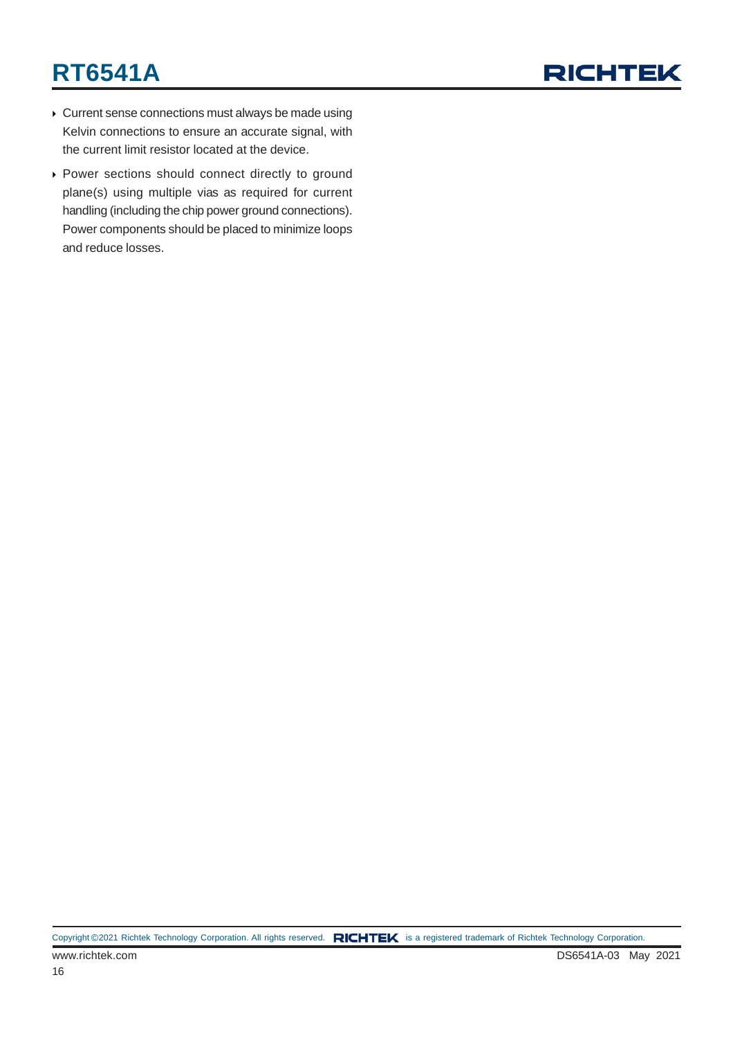- Current sense connections must always be made using Kelvin connections to ensure an accurate signal, with the current limit resistor located at the device.
- Power sections should connect directly to ground plane(s) using multiple vias as required for current handling (including the chip power ground connections). Power components should be placed to minimize loops and reduce losses.